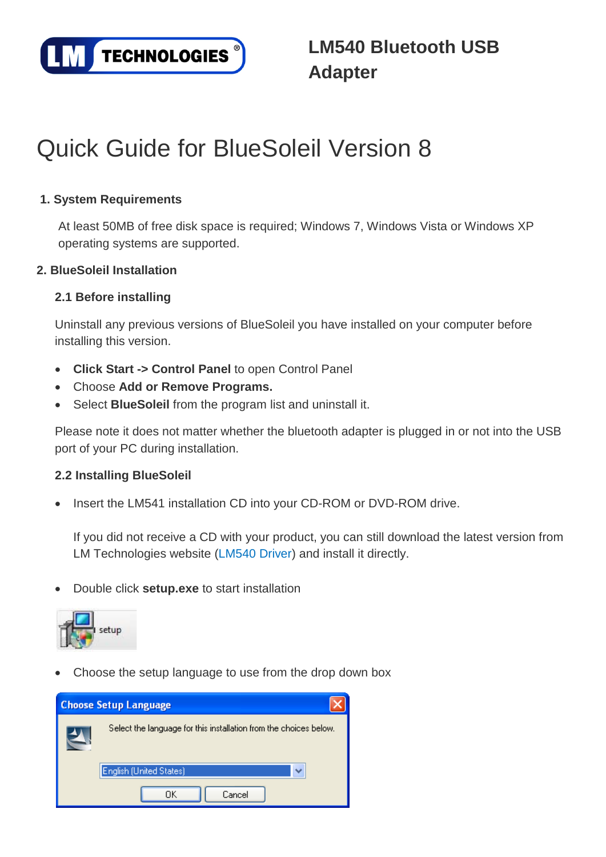

# Quick Guide for BlueSoleil Version 8

# **1. System Requirements**

At least 50MB of free disk space is required; Windows 7, Windows Vista or Windows XP operating systems are supported.

## **2. BlueSoleil Installation**

## **2.1 Before installing**

Uninstall any previous versions of BlueSoleil you have installed on your computer before installing this version.

- **Click Start -> Control Panel** to open Control Panel
- Choose **Add or Remove Programs.**
- Select **BlueSoleil** from the program list and uninstall it.

Please note it does not matter whether the bluetooth adapter is plugged in or not into the USB port of your PC during installation.

#### **2.2 Installing BlueSoleil**

• Insert the LM541 installation CD into your CD-ROM or DVD-ROM drive.

If you did not receive a CD with your product, you can still download the latest version from LM Technologies website [\(LM540 Driver\)](http://www.lm-technologies.com/business/product_item.php?item_id=20) and install it directly.

• Double click **setup.exe** to start installation



• Choose the setup language to use from the drop down box

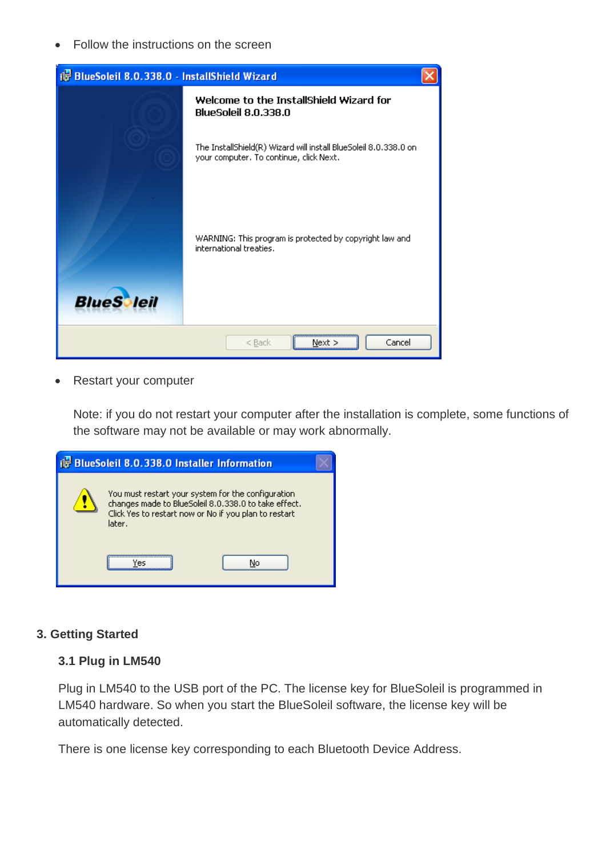• Follow the instructions on the screen

| is BlueSoleil 8.0.338.0 - InstallShield Wizard |                                                                                                             |  |  |  |
|------------------------------------------------|-------------------------------------------------------------------------------------------------------------|--|--|--|
|                                                | Welcome to the InstallShield Wizard for<br><b>BlueSoleil 8.0.338.0</b>                                      |  |  |  |
|                                                | The InstallShield(R) Wizard will install BlueSoleil 8.0.338.0 on<br>your computer. To continue, click Next. |  |  |  |
| <b>BlueS</b> leil                              | WARNING: This program is protected by copyright law and<br>international treaties.                          |  |  |  |
|                                                |                                                                                                             |  |  |  |
| Cancel<br>$<$ Back<br>Next                     |                                                                                                             |  |  |  |

• Restart your computer

Note: if you do not restart your computer after the installation is complete, some functions of the software may not be available or may work abnormally.

| <b>is</b> BlueSoleil 8.0.338.0 Installer Information                                                                                                                           |  |  |
|--------------------------------------------------------------------------------------------------------------------------------------------------------------------------------|--|--|
| You must restart your system for the configuration.<br>changes made to BlueSoleil 8.0.338.0 to take effect.<br>Click Yes to restart now or No if you plan to restart<br>later. |  |  |
| No<br>Yec                                                                                                                                                                      |  |  |

#### **3. Getting Started**

#### **3.1 Plug in LM540**

Plug in LM540 to the USB port of the PC. The license key for BlueSoleil is programmed in LM540 hardware. So when you start the BlueSoleil software, the license key will be automatically detected.

There is one license key corresponding to each Bluetooth Device Address.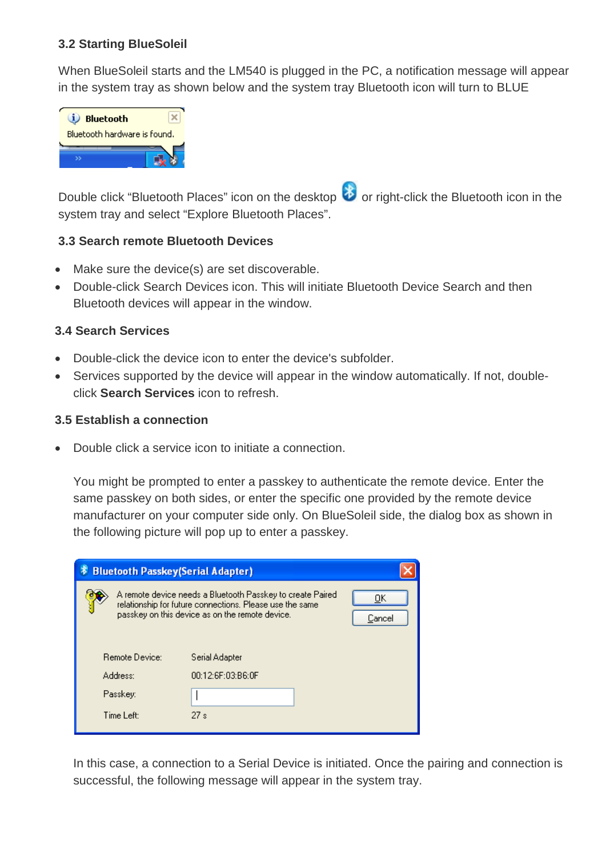## **3.2 Starting BlueSoleil**

When BlueSoleil starts and the LM540 is plugged in the PC, a notification message will appear in the system tray as shown below and the system tray Bluetooth icon will turn to BLUE



Double click "Bluetooth Places" icon on the desktop **8** or right-click the Bluetooth icon in the system tray and select "Explore Bluetooth Places".

#### **3.3 Search remote Bluetooth Devices**

- Make sure the device(s) are set discoverable.
- Double-click Search Devices icon. This will initiate Bluetooth Device Search and then Bluetooth devices will appear in the window.

## **3.4 Search Services**

- Double-click the device icon to enter the device's subfolder.
- Services supported by the device will appear in the window automatically. If not, doubleclick **Search Services** icon to refresh.

## **3.5 Establish a connection**

• Double click a service icon to initiate a connection.

You might be prompted to enter a passkey to authenticate the remote device. Enter the same passkey on both sides, or enter the specific one provided by the remote device manufacturer on your computer side only. On BlueSoleil side, the dialog box as shown in the following picture will pop up to enter a passkey.

| <b>Bluetooth Passkey(Serial Adapter)</b> |                                                                                                                                                                           |                      |
|------------------------------------------|---------------------------------------------------------------------------------------------------------------------------------------------------------------------------|----------------------|
|                                          | A remote device needs a Bluetooth Passkey to create Paired<br>relationship for future connections. Please use the same<br>passkey on this device as on the remote device. | <u>O</u> K<br>Cancel |
| Remote Device:                           | Serial Adapter                                                                                                                                                            |                      |
| Address:                                 | 00:12:6F:03:B6:0F                                                                                                                                                         |                      |
| Passkey:                                 |                                                                                                                                                                           |                      |
| Time Left:                               | 27s                                                                                                                                                                       |                      |

In this case, a connection to a Serial Device is initiated. Once the pairing and connection is successful, the following message will appear in the system tray.